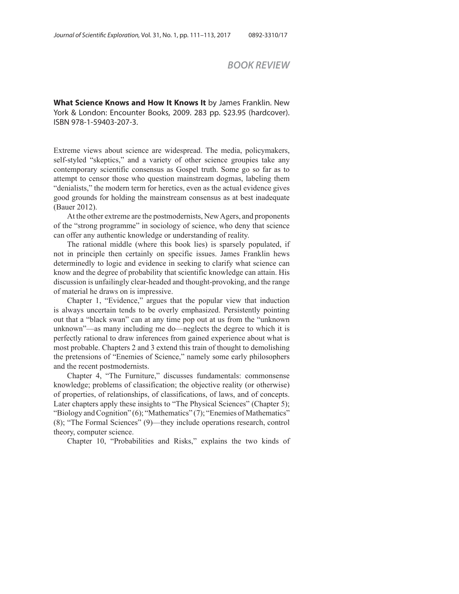## *BOOK REVIEW*

**What Science Knows and How It Knows It** by James Franklin. New York & London: Encounter Books, 2009. 283 pp. \$23.95 (hardcover). ISBN 978-1-59403-207-3.

Extreme views about science are widespread. The media, policymakers, self-styled "skeptics," and a variety of other science groupies take any contemporary scientific consensus as Gospel truth. Some go so far as to attempt to censor those who question mainstream dogmas, labeling them "denialists," the modern term for heretics, even as the actual evidence gives good grounds for holding the mainstream consensus as at best inadequate (Bauer 2012).

At the other extreme are the postmodernists, New Agers, and proponents of the "strong programme" in sociology of science, who deny that science can offer any authentic knowledge or understanding of reality.

The rational middle (where this book lies) is sparsely populated, if not in principle then certainly on specific issues. James Franklin hews determinedly to logic and evidence in seeking to clarify what science can know and the degree of probability that scientific knowledge can attain. His discussion is unfailingly clear-headed and thought-provoking, and the range of material he draws on is impressive.

Chapter 1, "Evidence," argues that the popular view that induction is always uncertain tends to be overly emphasized. Persistently pointing out that a "black swan" can at any time pop out at us from the "unknown unknown"—as many including me do—neglects the degree to which it is perfectly rational to draw inferences from gained experience about what is most probable. Chapters 2 and 3 extend this train of thought to demolishing the pretensions of "Enemies of Science," namely some early philosophers and the recent postmodernists.

Chapter 4, "The Furniture," discusses fundamentals: commonsense knowledge; problems of classification; the objective reality (or otherwise) of properties, of relationships, of classifications, of laws, and of concepts. Later chapters apply these insights to "The Physical Sciences" (Chapter 5); "Biology and Cognition" (6); "Mathematics" (7); "Enemies of Mathematics" (8); "The Formal Sciences" (9)—they include operations research, control theory, computer science.

Chapter 10, "Probabilities and Risks," explains the two kinds of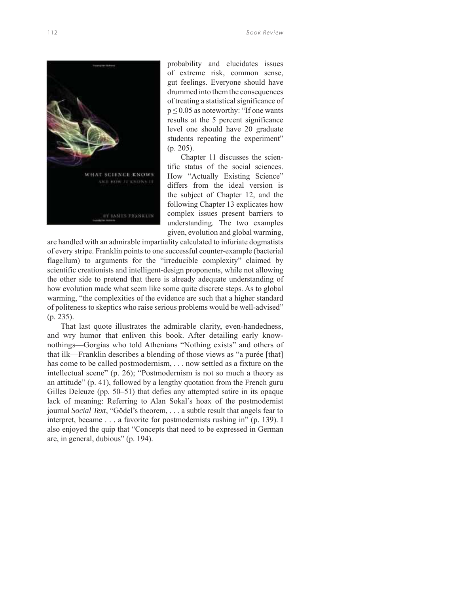

probability and elucidates issues of extreme risk, common sense, gut feelings. Everyone should have drummed into them the consequences of treating a statistical significance of  $p \le 0.05$  as noteworthy: "If one wants" results at the 5 percent significance level one should have 20 graduate students repeating the experiment" (p. 205).

Chapter 11 discusses the scientific status of the social sciences. How "Actually Existing Science" differs from the ideal version is the subject of Chapter 12, and the following Chapter 13 explicates how complex issues present barriers to understanding. The two examples given, evolution and global warming,

are handled with an admirable impartiality calculated to infuriate dogmatists of every stripe. Franklin points to one successful counter-example (bacterial flagellum) to arguments for the "irreducible complexity" claimed by scientific creationists and intelligent-design proponents, while not allowing the other side to pretend that there is already adequate understanding of how evolution made what seem like some quite discrete steps. As to global warming, "the complexities of the evidence are such that a higher standard of politeness to skeptics who raise serious problems would be well-advised" (p. 235).

That last quote illustrates the admirable clarity, even-handedness, and wry humor that enliven this book. After detailing early knownothings—Gorgias who told Athenians "Nothing exists" and others of that ilk—Franklin describes a blending of those views as "a purée [that] has come to be called postmodernism, . . . now settled as a fixture on the intellectual scene" (p. 26); "Postmodernism is not so much a theory as an attitude" (p. 41), followed by a lengthy quotation from the French guru Gilles Deleuze (pp. 50–51) that defies any attempted satire in its opaque lack of meaning: Referring to Alan Sokal's hoax of the postmodernist journal *Social Text*, "Gödel's theorem, . . . a subtle result that angels fear to interpret, became . . . a favorite for postmodernists rushing in" (p. 139). I also enjoyed the quip that "Concepts that need to be expressed in German are, in general, dubious" (p. 194).